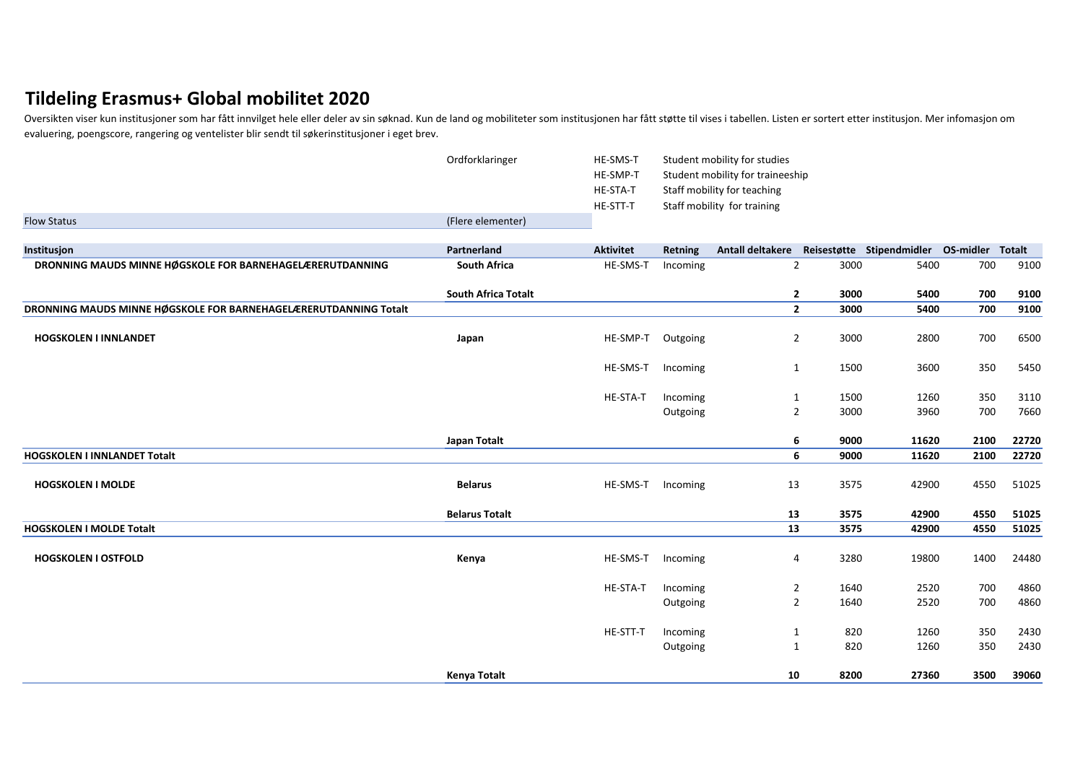## **Tildeling Erasmus+ Global mobilitet 2020**

Oversikten viser kun institusjoner som har fått innvilget hele eller deler av sin søknad. Kun de land og mobiliteter som institusjonen har fått støtte til vises i tabellen. Listen er sortert etter institusjon. Mer infomasj evaluering, poengscore, rangering og ventelister blir sendt til søkerinstitusjoner i eget brev.

|                                                                  | Ordforklaringer            | HE-SMS-T         | Student mobility for studies |                                                             |      |       |      |       |
|------------------------------------------------------------------|----------------------------|------------------|------------------------------|-------------------------------------------------------------|------|-------|------|-------|
|                                                                  |                            | HE-SMP-T         |                              | Student mobility for traineeship                            |      |       |      |       |
|                                                                  |                            | HE-STA-T         |                              | Staff mobility for teaching                                 |      |       |      |       |
|                                                                  |                            | HE-STT-T         |                              | Staff mobility for training                                 |      |       |      |       |
| <b>Flow Status</b>                                               | (Flere elementer)          |                  |                              |                                                             |      |       |      |       |
| Institusjon                                                      | Partnerland                | <b>Aktivitet</b> | Retning                      | Antall deltakere Reisestøtte Stipendmidler OS-midler Totalt |      |       |      |       |
| DRONNING MAUDS MINNE HØGSKOLE FOR BARNEHAGELÆRERUTDANNING        | <b>South Africa</b>        | HE-SMS-T         | Incoming                     | $\overline{2}$                                              | 3000 | 5400  | 700  | 9100  |
|                                                                  | <b>South Africa Totalt</b> |                  |                              | $\overline{2}$                                              | 3000 | 5400  | 700  | 9100  |
| DRONNING MAUDS MINNE HØGSKOLE FOR BARNEHAGELÆRERUTDANNING Totalt |                            |                  |                              | $\overline{2}$                                              | 3000 | 5400  | 700  | 9100  |
| <b>HOGSKOLEN I INNLANDET</b>                                     | Japan                      | HE-SMP-T         | Outgoing                     | $\overline{2}$                                              | 3000 | 2800  | 700  | 6500  |
|                                                                  |                            | HE-SMS-T         | Incoming                     | $\mathbf{1}$                                                | 1500 | 3600  | 350  | 5450  |
|                                                                  |                            | HE-STA-T         | Incoming                     | $\mathbf{1}$                                                | 1500 | 1260  | 350  | 3110  |
|                                                                  |                            |                  | Outgoing                     | $\overline{2}$                                              | 3000 | 3960  | 700  | 7660  |
|                                                                  | Japan Totalt               |                  |                              | 6                                                           | 9000 | 11620 | 2100 | 22720 |
| <b>HOGSKOLEN I INNLANDET Totalt</b>                              |                            |                  |                              | 6                                                           | 9000 | 11620 | 2100 | 22720 |
| <b>HOGSKOLEN I MOLDE</b>                                         | <b>Belarus</b>             | HE-SMS-T         | Incoming                     | 13                                                          | 3575 | 42900 | 4550 | 51025 |
|                                                                  | <b>Belarus Totalt</b>      |                  |                              | 13                                                          | 3575 | 42900 | 4550 | 51025 |
| HOGSKOLEN I MOLDE Totalt                                         |                            |                  |                              | $\overline{13}$                                             | 3575 | 42900 | 4550 | 51025 |
| <b>HOGSKOLEN I OSTFOLD</b>                                       | Kenya                      | HE-SMS-T         | Incoming                     | 4                                                           | 3280 | 19800 | 1400 | 24480 |
|                                                                  |                            | HE-STA-T         | Incoming                     | $\overline{2}$                                              | 1640 | 2520  | 700  | 4860  |
|                                                                  |                            |                  | Outgoing                     | $\overline{2}$                                              | 1640 | 2520  | 700  | 4860  |
|                                                                  |                            | HE-STT-T         | Incoming                     | 1                                                           | 820  | 1260  | 350  | 2430  |
|                                                                  |                            |                  | Outgoing                     | 1                                                           | 820  | 1260  | 350  | 2430  |
|                                                                  |                            |                  |                              |                                                             |      |       |      |       |
|                                                                  | Kenya Totalt               |                  |                              | 10                                                          | 8200 | 27360 | 3500 | 39060 |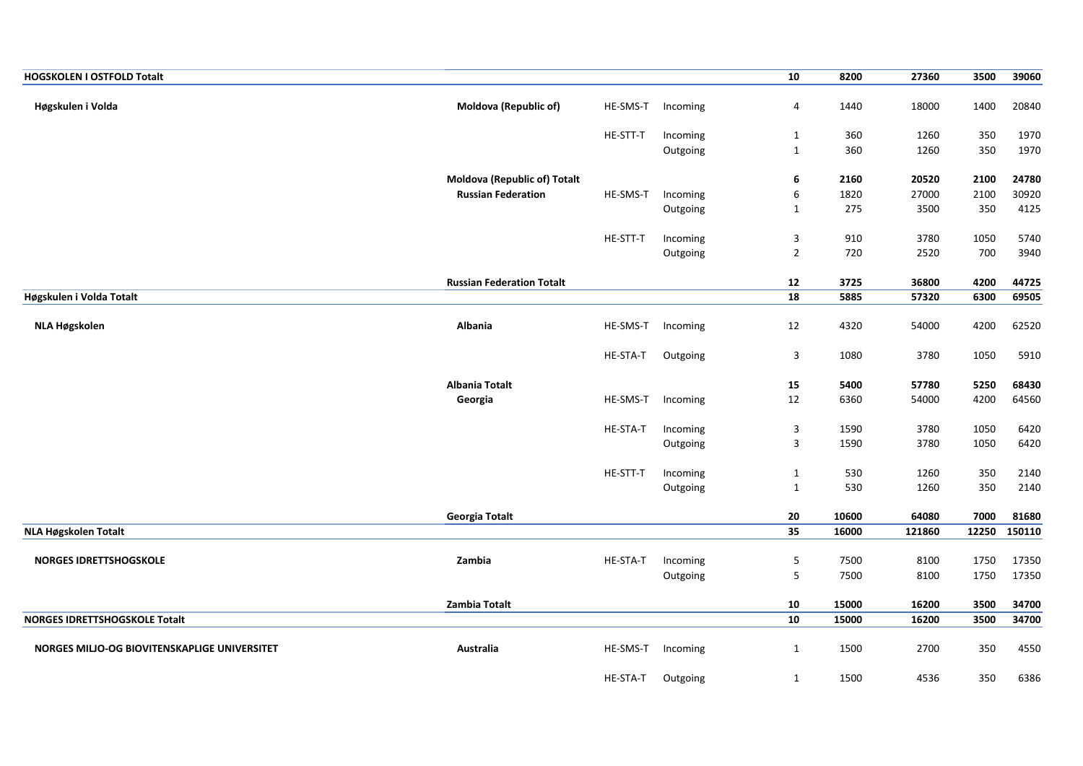| <b>HOGSKOLEN I OSTFOLD Totalt</b>            |                                  |          |                      | 10               | 8200         | 27360        | 3500         | 39060          |
|----------------------------------------------|----------------------------------|----------|----------------------|------------------|--------------|--------------|--------------|----------------|
| Høgskulen i Volda                            | Moldova (Republic of)            | HE-SMS-T | Incoming             | 4                | 1440         | 18000        | 1400         | 20840          |
|                                              |                                  | HE-STT-T | Incoming             | $\mathbf{1}$     | 360          | 1260         | 350          | 1970           |
|                                              |                                  |          | Outgoing             | $\mathbf 1$      | 360          | 1260         | 350          | 1970           |
|                                              | Moldova (Republic of) Totalt     |          |                      | 6                | 2160         | 20520        | 2100         | 24780          |
|                                              | <b>Russian Federation</b>        | HE-SMS-T | Incoming             | $\boldsymbol{6}$ | 1820         | 27000        | 2100         | 30920          |
|                                              |                                  |          | Outgoing             | $\mathbf{1}$     | 275          | 3500         | 350          | 4125           |
|                                              |                                  | HE-STT-T | Incoming             | 3                | 910          | 3780         | 1050         | 5740           |
|                                              |                                  |          | Outgoing             | $\overline{2}$   | 720          | 2520         | 700          | 3940           |
|                                              | <b>Russian Federation Totalt</b> |          |                      | 12               | 3725         | 36800        | 4200         | 44725          |
| Høgskulen i Volda Totalt                     |                                  |          |                      | 18               | 5885         | 57320        | 6300         | 69505          |
|                                              |                                  |          |                      |                  |              |              |              |                |
| NLA Høgskolen                                | Albania                          | HE-SMS-T | Incoming             | 12               | 4320         | 54000        | 4200         | 62520          |
|                                              |                                  | HE-STA-T | Outgoing             | 3                | 1080         | 3780         | 1050         | 5910           |
|                                              | <b>Albania Totalt</b>            |          |                      | 15               | 5400         | 57780        | 5250         | 68430          |
|                                              | Georgia                          | HE-SMS-T | Incoming             | 12               | 6360         | 54000        | 4200         | 64560          |
|                                              |                                  | HE-STA-T | Incoming             | 3                | 1590         | 3780         | 1050         | 6420           |
|                                              |                                  |          | Outgoing             | $\mathsf 3$      | 1590         | 3780         | 1050         | 6420           |
|                                              |                                  | HE-STT-T | Incoming             | $\mathbf{1}$     | 530          | 1260         | 350          | 2140           |
|                                              |                                  |          | Outgoing             | $\mathbf{1}$     | 530          | 1260         | 350          | 2140           |
|                                              | <b>Georgia Totalt</b>            |          |                      | ${\bf 20}$       | 10600        | 64080        | 7000         | 81680          |
| NLA Høgskolen Totalt                         |                                  |          |                      | $\overline{35}$  | 16000        | 121860       | 12250        | 150110         |
|                                              |                                  |          |                      |                  |              |              |              |                |
| <b>NORGES IDRETTSHOGSKOLE</b>                | Zambia                           | HE-STA-T | Incoming<br>Outgoing | $\sqrt{5}$<br>5  | 7500<br>7500 | 8100<br>8100 | 1750<br>1750 | 17350<br>17350 |
|                                              |                                  |          |                      |                  |              |              |              |                |
|                                              | Zambia Totalt                    |          |                      | 10               | 15000        | 16200        | 3500         | 34700          |
| <b>NORGES IDRETTSHOGSKOLE Totalt</b>         |                                  |          |                      | ${\bf 10}$       | 15000        | 16200        | 3500         | 34700          |
| NORGES MILJO-OG BIOVITENSKAPLIGE UNIVERSITET | Australia                        | HE-SMS-T | Incoming             | 1                | 1500         | 2700         | 350          | 4550           |
|                                              |                                  | HE-STA-T | Outgoing             | $\mathbf{1}$     | 1500         | 4536         | 350          | 6386           |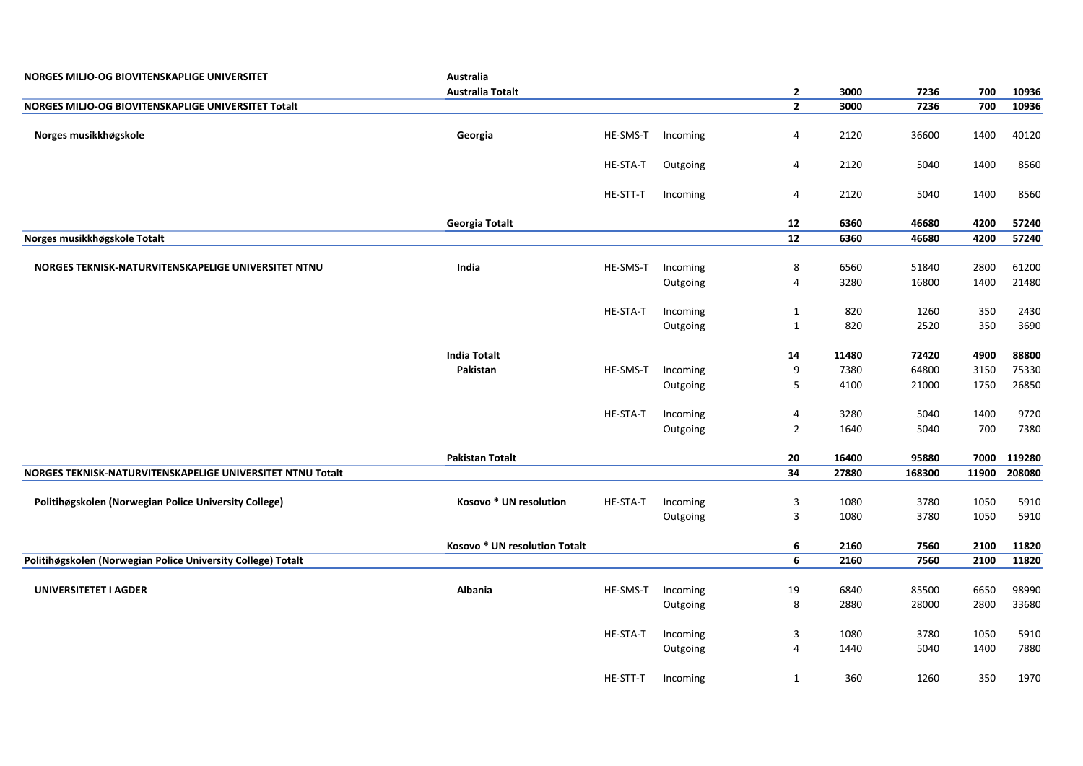| NORGES MILJO-OG BIOVITENSKAPLIGE UNIVERSITET                 | Australia                     |          |          |                                           |       |        |             |              |
|--------------------------------------------------------------|-------------------------------|----------|----------|-------------------------------------------|-------|--------|-------------|--------------|
|                                                              | <b>Australia Totalt</b>       |          |          | $\overline{2}$                            | 3000  | 7236   | 700         | 10936        |
| NORGES MILJO-OG BIOVITENSKAPLIGE UNIVERSITET Totalt          |                               |          |          | $\overline{2}$                            | 3000  | 7236   | 700         | 10936        |
| Norges musikkhøgskole                                        | Georgia                       | HE-SMS-T | Incoming | 4                                         | 2120  | 36600  | 1400        | 40120        |
|                                                              |                               | HE-STA-T | Outgoing | 4                                         | 2120  | 5040   | 1400        | 8560         |
|                                                              |                               | HE-STT-T | Incoming | 4                                         | 2120  | 5040   | 1400        | 8560         |
|                                                              | Georgia Totalt                |          |          | 12                                        | 6360  | 46680  | 4200        | 57240        |
| Norges musikkhøgskole Totalt                                 |                               |          |          | $\overline{12}$                           | 6360  | 46680  | 4200        | 57240        |
|                                                              |                               |          |          |                                           |       |        |             |              |
| NORGES TEKNISK-NATURVITENSKAPELIGE UNIVERSITET NTNU          | India                         | HE-SMS-T | Incoming | 8                                         | 6560  | 51840  | 2800        | 61200        |
|                                                              |                               |          | Outgoing | $\overline{\mathbf{4}}$                   | 3280  | 16800  | 1400        | 21480        |
|                                                              |                               | HE-STA-T | Incoming | $\mathbf{1}$                              | 820   | 1260   | 350         | 2430         |
|                                                              |                               |          | Outgoing | 1                                         | 820   | 2520   | 350         | 3690         |
|                                                              |                               |          |          |                                           |       |        |             |              |
|                                                              | <b>India Totalt</b>           |          |          | 14                                        | 11480 | 72420  | 4900        | 88800        |
|                                                              | Pakistan                      | HE-SMS-T | Incoming | 9                                         | 7380  | 64800  | 3150        | 75330        |
|                                                              |                               |          | Outgoing | 5                                         | 4100  | 21000  | 1750        | 26850        |
|                                                              |                               |          |          |                                           |       |        |             |              |
|                                                              |                               | HE-STA-T | Incoming | $\overline{\mathbf{4}}$<br>$\overline{2}$ | 3280  | 5040   | 1400<br>700 | 9720<br>7380 |
|                                                              |                               |          | Outgoing |                                           | 1640  | 5040   |             |              |
|                                                              | <b>Pakistan Totalt</b>        |          |          | 20                                        | 16400 | 95880  | 7000        | 119280       |
| NORGES TEKNISK-NATURVITENSKAPELIGE UNIVERSITET NTNU Totalt   |                               |          |          | 34                                        | 27880 | 168300 | 11900       | 208080       |
|                                                              |                               |          |          |                                           |       |        |             |              |
| Politihøgskolen (Norwegian Police University College)        | Kosovo * UN resolution        | HE-STA-T | Incoming | 3                                         | 1080  | 3780   | 1050        | 5910         |
|                                                              |                               |          | Outgoing | 3                                         | 1080  | 3780   | 1050        | 5910         |
|                                                              | Kosovo * UN resolution Totalt |          |          | 6                                         | 2160  | 7560   | 2100        | 11820        |
| Politihøgskolen (Norwegian Police University College) Totalt |                               |          |          | 6                                         | 2160  | 7560   | 2100        | 11820        |
|                                                              |                               |          |          |                                           |       |        |             |              |
| <b>UNIVERSITETET I AGDER</b>                                 | Albania                       | HE-SMS-T | Incoming | 19                                        | 6840  | 85500  | 6650        | 98990        |
|                                                              |                               |          | Outgoing | 8                                         | 2880  | 28000  | 2800        | 33680        |
|                                                              |                               | HE-STA-T | Incoming | 3                                         | 1080  | 3780   | 1050        | 5910         |
|                                                              |                               |          | Outgoing | 4                                         | 1440  | 5040   | 1400        | 7880         |
|                                                              |                               | HE-STT-T | Incoming | $\mathbf{1}$                              | 360   | 1260   | 350         | 1970         |
|                                                              |                               |          |          |                                           |       |        |             |              |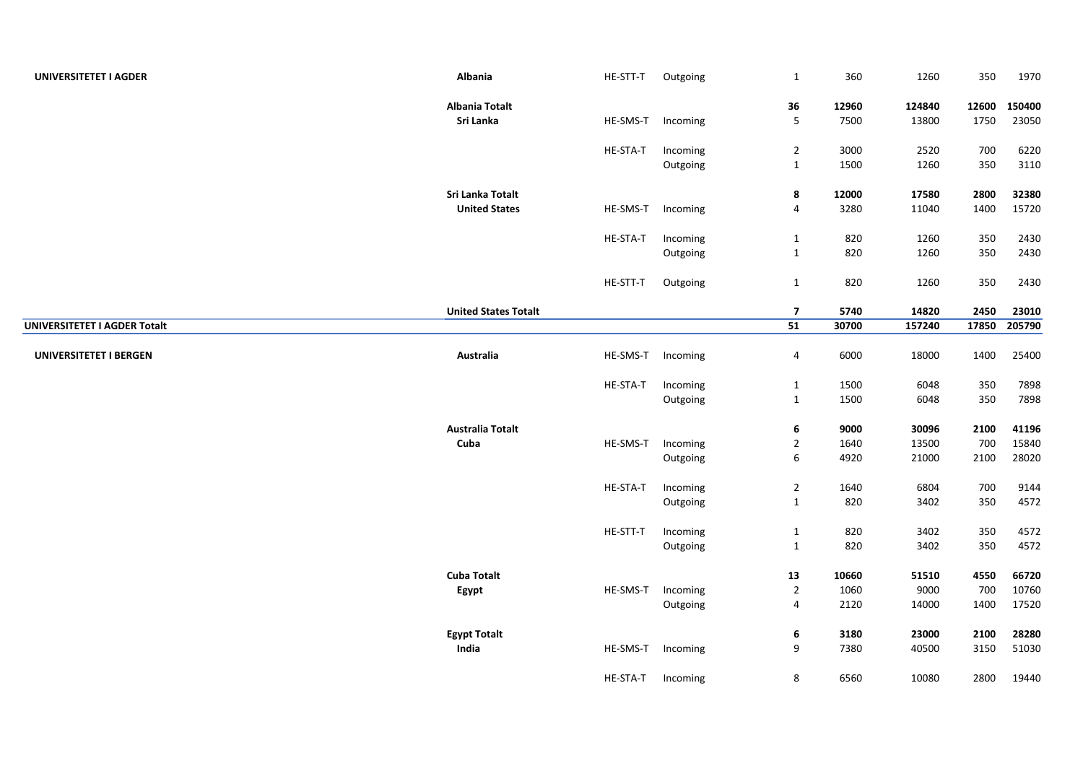| UNIVERSITETET I AGDER        | Albania                     | HE-STT-T | Outgoing | $\mathbf{1}$    | 360   | 1260   | 350   | 1970   |
|------------------------------|-----------------------------|----------|----------|-----------------|-------|--------|-------|--------|
|                              | <b>Albania Totalt</b>       |          |          | 36              | 12960 | 124840 | 12600 | 150400 |
|                              | Sri Lanka                   | HE-SMS-T | Incoming | 5               | 7500  | 13800  | 1750  | 23050  |
|                              |                             | HE-STA-T | Incoming | $\overline{2}$  | 3000  | 2520   | 700   | 6220   |
|                              |                             |          | Outgoing | $\mathbf{1}$    | 1500  | 1260   | 350   | 3110   |
|                              | Sri Lanka Totalt            |          |          | 8               | 12000 | 17580  | 2800  | 32380  |
|                              | <b>United States</b>        | HE-SMS-T | Incoming | 4               | 3280  | 11040  | 1400  | 15720  |
|                              |                             | HE-STA-T | Incoming | $\mathbf{1}$    | 820   | 1260   | 350   | 2430   |
|                              |                             |          | Outgoing | $\mathbf 1$     | 820   | 1260   | 350   | 2430   |
|                              |                             | HE-STT-T | Outgoing | $\mathbf 1$     | 820   | 1260   | 350   | 2430   |
|                              | <b>United States Totalt</b> |          |          | $\overline{7}$  | 5740  | 14820  | 2450  | 23010  |
| UNIVERSITETET I AGDER Totalt |                             |          |          | $\overline{51}$ | 30700 | 157240 | 17850 | 205790 |
| UNIVERSITETET I BERGEN       | Australia                   | HE-SMS-T | Incoming | $\overline{a}$  | 6000  | 18000  | 1400  | 25400  |
|                              |                             | HE-STA-T | Incoming | $\mathbf 1$     | 1500  | 6048   | 350   | 7898   |
|                              |                             |          | Outgoing | $\mathbf{1}$    | 1500  | 6048   | 350   | 7898   |
|                              | <b>Australia Totalt</b>     |          |          | 6               | 9000  | 30096  | 2100  | 41196  |
|                              | Cuba                        | HE-SMS-T | Incoming | $\overline{2}$  | 1640  | 13500  | 700   | 15840  |
|                              |                             |          | Outgoing | 6               | 4920  | 21000  | 2100  | 28020  |
|                              |                             | HE-STA-T | Incoming | $\overline{2}$  | 1640  | 6804   | 700   | 9144   |
|                              |                             |          | Outgoing | $\mathbf 1$     | 820   | 3402   | 350   | 4572   |
|                              |                             | HE-STT-T | Incoming | $\mathbf 1$     | 820   | 3402   | 350   | 4572   |
|                              |                             |          | Outgoing | $\mathbf 1$     | 820   | 3402   | 350   | 4572   |
|                              | <b>Cuba Totalt</b>          |          |          | 13              | 10660 | 51510  | 4550  | 66720  |
|                              | Egypt                       | HE-SMS-T | Incoming | $\overline{2}$  | 1060  | 9000   | 700   | 10760  |
|                              |                             |          | Outgoing | 4               | 2120  | 14000  | 1400  | 17520  |
|                              | <b>Egypt Totalt</b>         |          |          | 6               | 3180  | 23000  | 2100  | 28280  |
|                              | India                       | HE-SMS-T | Incoming | 9               | 7380  | 40500  | 3150  | 51030  |
|                              |                             | HE-STA-T | Incoming | 8               | 6560  | 10080  | 2800  | 19440  |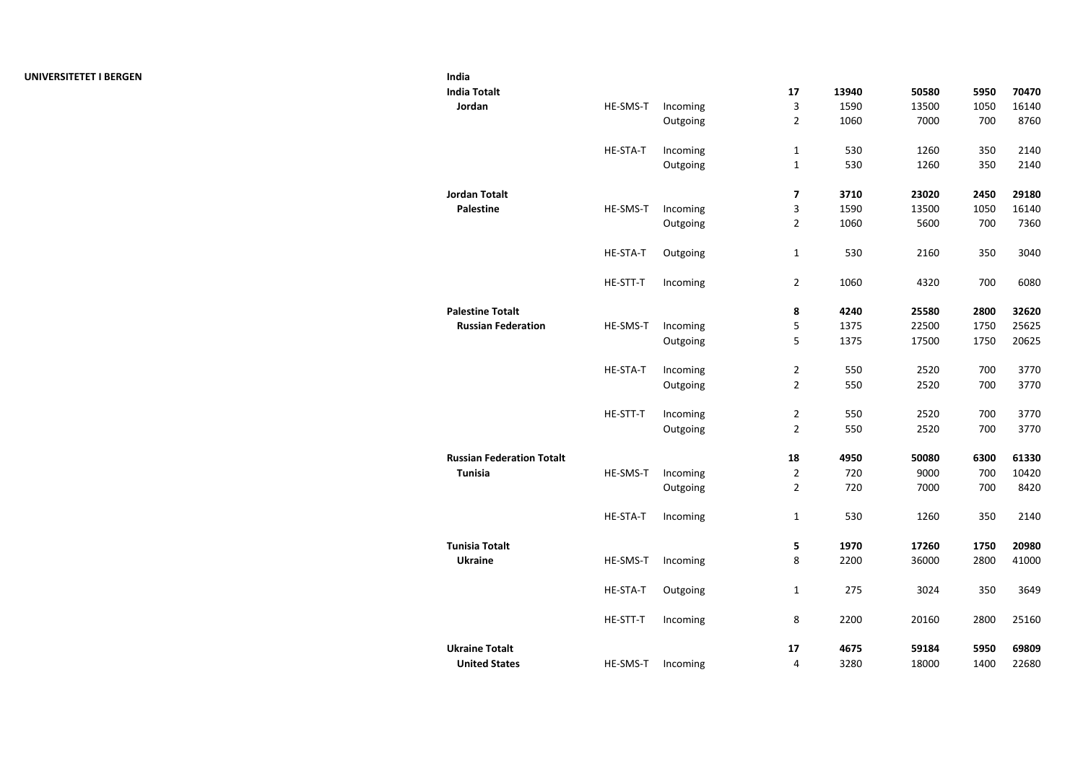| India                            |                 |          |                         |       |       |      |       |
|----------------------------------|-----------------|----------|-------------------------|-------|-------|------|-------|
| <b>India Totalt</b>              |                 |          | 17                      | 13940 | 50580 | 5950 | 70470 |
| Jordan                           | HE-SMS-T        | Incoming | 3                       | 1590  | 13500 | 1050 | 16140 |
|                                  |                 | Outgoing | $\overline{2}$          | 1060  | 7000  | 700  | 8760  |
|                                  | HE-STA-T        | Incoming | $\mathbf 1$             | 530   | 1260  | 350  | 2140  |
|                                  |                 | Outgoing | $\mathbf 1$             | 530   | 1260  | 350  | 2140  |
| <b>Jordan Totalt</b>             |                 |          | 7                       | 3710  | 23020 | 2450 | 29180 |
| <b>Palestine</b>                 | HE-SMS-T        | Incoming | $\overline{\mathbf{3}}$ | 1590  | 13500 | 1050 | 16140 |
|                                  |                 | Outgoing | $\overline{2}$          | 1060  | 5600  | 700  | 7360  |
|                                  | HE-STA-T        | Outgoing | $\mathbf{1}$            | 530   | 2160  | 350  | 3040  |
|                                  | HE-STT-T        | Incoming | $\overline{2}$          | 1060  | 4320  | 700  | 6080  |
| <b>Palestine Totalt</b>          |                 |          | 8                       | 4240  | 25580 | 2800 | 32620 |
| <b>Russian Federation</b>        | HE-SMS-T        | Incoming | 5                       | 1375  | 22500 | 1750 | 25625 |
|                                  |                 | Outgoing | 5                       | 1375  | 17500 | 1750 | 20625 |
|                                  | <b>HE-STA-T</b> | Incoming | $\overline{2}$          | 550   | 2520  | 700  | 3770  |
|                                  |                 | Outgoing | $\overline{2}$          | 550   | 2520  | 700  | 3770  |
|                                  | HE-STT-T        | Incoming | $\overline{2}$          | 550   | 2520  | 700  | 3770  |
|                                  |                 | Outgoing | $\overline{2}$          | 550   | 2520  | 700  | 3770  |
| <b>Russian Federation Totalt</b> |                 |          | 18                      | 4950  | 50080 | 6300 | 61330 |
| <b>Tunisia</b>                   | HE-SMS-T        | Incoming | $\overline{2}$          | 720   | 9000  | 700  | 10420 |
|                                  |                 | Outgoing | $\overline{2}$          | 720   | 7000  | 700  | 8420  |
|                                  | HE-STA-T        | Incoming | $\mathbf{1}$            | 530   | 1260  | 350  | 2140  |
| <b>Tunisia Totalt</b>            |                 |          | 5                       | 1970  | 17260 | 1750 | 20980 |
| <b>Ukraine</b>                   | HE-SMS-T        | Incoming | 8                       | 2200  | 36000 | 2800 | 41000 |
|                                  | HE-STA-T        | Outgoing | $\mathbf{1}$            | 275   | 3024  | 350  | 3649  |
|                                  | HE-STT-T        | Incoming | 8                       | 2200  | 20160 | 2800 | 25160 |
| <b>Ukraine Totalt</b>            |                 |          | 17                      | 4675  | 59184 | 5950 | 69809 |
| <b>United States</b>             | HE-SMS-T        | Incoming | 4                       | 3280  | 18000 | 1400 | 22680 |
|                                  |                 |          |                         |       |       |      |       |

## **UNIVERSITETET I BERGEN India**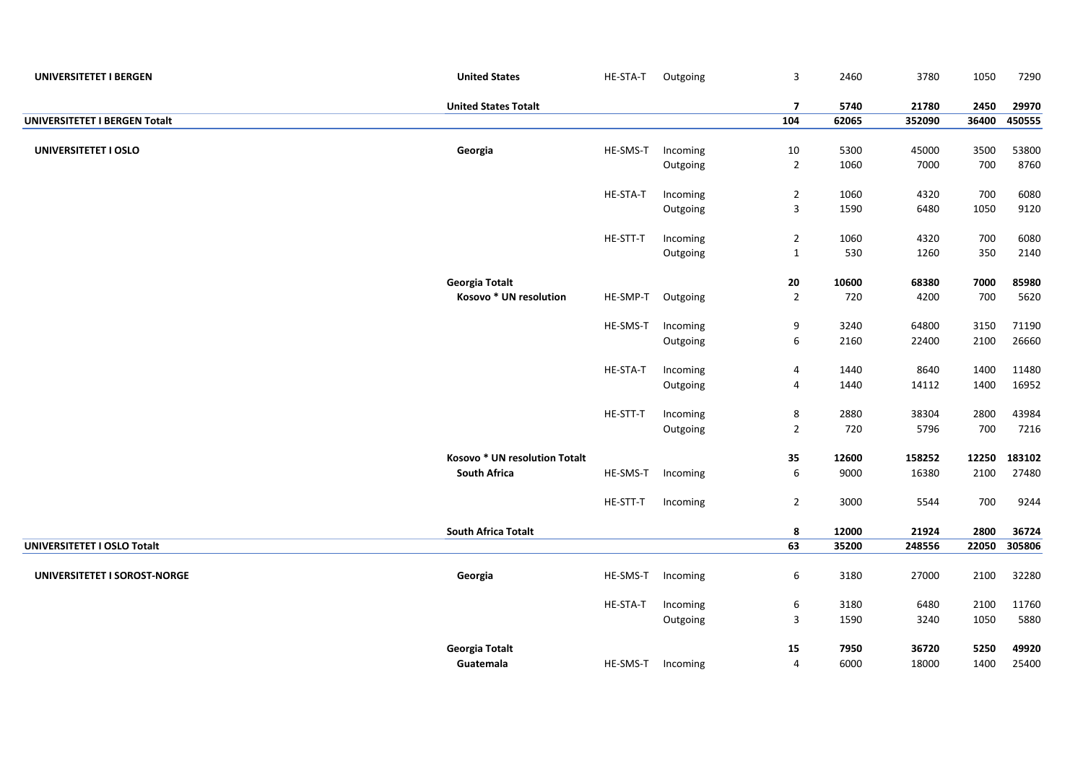| UNIVERSITETET I BERGEN        | <b>United States</b>          | HE-STA-T | Outgoing | $\mathsf 3$             | 2460  | 3780   | 1050  | 7290   |
|-------------------------------|-------------------------------|----------|----------|-------------------------|-------|--------|-------|--------|
|                               | <b>United States Totalt</b>   |          |          | $\overline{\mathbf{z}}$ | 5740  | 21780  | 2450  | 29970  |
| UNIVERSITETET I BERGEN Totalt |                               |          |          | 104                     | 62065 | 352090 | 36400 | 450555 |
|                               |                               |          |          |                         |       |        |       |        |
| UNIVERSITETET I OSLO          | Georgia                       | HE-SMS-T | Incoming | 10                      | 5300  | 45000  | 3500  | 53800  |
|                               |                               |          | Outgoing | $\overline{2}$          | 1060  | 7000   | 700   | 8760   |
|                               |                               | HE-STA-T | Incoming | $\overline{2}$          | 1060  | 4320   | 700   | 6080   |
|                               |                               |          | Outgoing | $\overline{\mathbf{3}}$ | 1590  | 6480   | 1050  | 9120   |
|                               |                               |          |          |                         |       |        |       |        |
|                               |                               | HE-STT-T | Incoming | $\overline{2}$          | 1060  | 4320   | 700   | 6080   |
|                               |                               |          | Outgoing | $\mathbf{1}$            | 530   | 1260   | 350   | 2140   |
|                               | <b>Georgia Totalt</b>         |          |          | ${\bf 20}$              | 10600 | 68380  | 7000  | 85980  |
|                               | Kosovo * UN resolution        | HE-SMP-T | Outgoing | $\sqrt{2}$              | 720   | 4200   | 700   | 5620   |
|                               |                               | HE-SMS-T | Incoming | 9                       | 3240  | 64800  | 3150  | 71190  |
|                               |                               |          | Outgoing | $\boldsymbol{6}$        | 2160  | 22400  | 2100  | 26660  |
|                               |                               |          |          |                         |       |        |       |        |
|                               |                               | HE-STA-T | Incoming | $\overline{\mathbf{4}}$ | 1440  | 8640   | 1400  | 11480  |
|                               |                               |          | Outgoing | $\overline{4}$          | 1440  | 14112  | 1400  | 16952  |
|                               |                               | HE-STT-T | Incoming | 8                       | 2880  | 38304  | 2800  | 43984  |
|                               |                               |          | Outgoing | $\overline{2}$          | 720   | 5796   | 700   | 7216   |
|                               |                               |          |          |                         |       |        |       |        |
|                               | Kosovo * UN resolution Totalt |          |          | 35                      | 12600 | 158252 | 12250 | 183102 |
|                               | <b>South Africa</b>           | HE-SMS-T | Incoming | 6                       | 9000  | 16380  | 2100  | 27480  |
|                               |                               | HE-STT-T | Incoming | $\overline{2}$          | 3000  | 5544   | 700   | 9244   |
|                               |                               |          |          |                         |       |        |       |        |
|                               | <b>South Africa Totalt</b>    |          |          | 8                       | 12000 | 21924  | 2800  | 36724  |
| UNIVERSITETET I OSLO Totalt   |                               |          |          | 63                      | 35200 | 248556 | 22050 | 305806 |
| UNIVERSITETET I SOROST-NORGE  | Georgia                       | HE-SMS-T | Incoming | 6                       | 3180  | 27000  | 2100  | 32280  |
|                               |                               |          |          |                         |       |        |       |        |
|                               |                               | HE-STA-T | Incoming | $\boldsymbol{6}$        | 3180  | 6480   | 2100  | 11760  |
|                               |                               |          | Outgoing | 3                       | 1590  | 3240   | 1050  | 5880   |
|                               | <b>Georgia Totalt</b>         |          |          | 15                      | 7950  | 36720  | 5250  | 49920  |
|                               | Guatemala                     | HE-SMS-T | Incoming | $\sqrt{4}$              | 6000  | 18000  | 1400  | 25400  |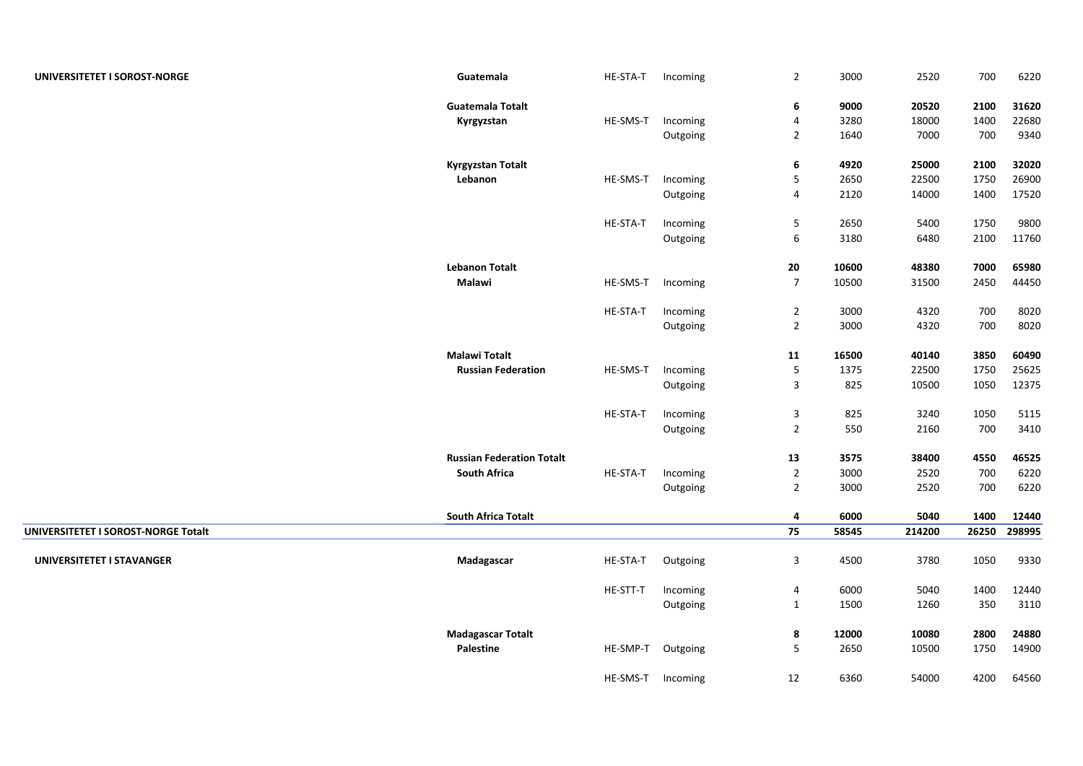| UNIVERSITETET I SOROST-NORGE        | Guatemala                        | HE-STA-T          | Incoming | $\overline{2}$   | 3000  | 2520   | 700   | 6220   |
|-------------------------------------|----------------------------------|-------------------|----------|------------------|-------|--------|-------|--------|
|                                     | <b>Guatemala Totalt</b>          |                   |          | 6                | 9000  | 20520  | 2100  | 31620  |
|                                     | Kyrgyzstan                       | HE-SMS-T          | Incoming | 4                | 3280  | 18000  | 1400  | 22680  |
|                                     |                                  |                   | Outgoing | $\overline{2}$   | 1640  | 7000   | 700   | 9340   |
|                                     | <b>Kyrgyzstan Totalt</b>         |                   |          | 6                | 4920  | 25000  | 2100  | 32020  |
|                                     | Lebanon                          | HE-SMS-T          | Incoming | 5                | 2650  | 22500  | 1750  | 26900  |
|                                     |                                  |                   | Outgoing | 4                | 2120  | 14000  | 1400  | 17520  |
|                                     |                                  | HE-STA-T          | Incoming | $\sqrt{5}$       | 2650  | 5400   | 1750  | 9800   |
|                                     |                                  |                   | Outgoing | 6                | 3180  | 6480   | 2100  | 11760  |
|                                     | <b>Lebanon Totalt</b>            |                   |          | 20               | 10600 | 48380  | 7000  | 65980  |
|                                     | Malawi                           | HE-SMS-T          | Incoming | $\boldsymbol{7}$ | 10500 | 31500  | 2450  | 44450  |
|                                     |                                  | HE-STA-T          | Incoming | $\overline{2}$   | 3000  | 4320   | 700   | 8020   |
|                                     |                                  |                   | Outgoing | $\overline{2}$   | 3000  | 4320   | 700   | 8020   |
|                                     |                                  |                   |          |                  |       |        |       |        |
|                                     | <b>Malawi Totalt</b>             |                   |          | 11               | 16500 | 40140  | 3850  | 60490  |
|                                     | <b>Russian Federation</b>        | HE-SMS-T          | Incoming | $\mathsf S$      | 1375  | 22500  | 1750  | 25625  |
|                                     |                                  |                   | Outgoing | 3                | 825   | 10500  | 1050  | 12375  |
|                                     |                                  | HE-STA-T          | Incoming | 3                | 825   | 3240   | 1050  | 5115   |
|                                     |                                  |                   | Outgoing | $\mathbf 2$      | 550   | 2160   | 700   | 3410   |
|                                     | <b>Russian Federation Totalt</b> |                   |          | 13               | 3575  | 38400  | 4550  | 46525  |
|                                     | <b>South Africa</b>              | HE-STA-T          | Incoming | $\sqrt{2}$       | 3000  | 2520   | 700   | 6220   |
|                                     |                                  |                   | Outgoing | $\overline{2}$   | 3000  | 2520   | 700   | 6220   |
|                                     | South Africa Totalt              |                   |          | 4                | 6000  | 5040   | 1400  | 12440  |
| UNIVERSITETET I SOROST-NORGE Totalt |                                  |                   |          | 75               | 58545 | 214200 | 26250 | 298995 |
| UNIVERSITETET I STAVANGER           | Madagascar                       | HE-STA-T          | Outgoing | 3                | 4500  | 3780   | 1050  | 9330   |
|                                     |                                  | HE-STT-T          | Incoming | 4                | 6000  | 5040   | 1400  | 12440  |
|                                     |                                  |                   | Outgoing | $\mathbf{1}$     | 1500  | 1260   | 350   | 3110   |
|                                     |                                  |                   |          |                  |       |        |       |        |
|                                     | <b>Madagascar Totalt</b>         |                   |          | 8                | 12000 | 10080  | 2800  | 24880  |
|                                     | <b>Palestine</b>                 | HE-SMP-T          | Outgoing | $\overline{5}$   | 2650  | 10500  | 1750  | 14900  |
|                                     |                                  | HE-SMS-T Incoming |          | 12               | 6360  | 54000  | 4200  | 64560  |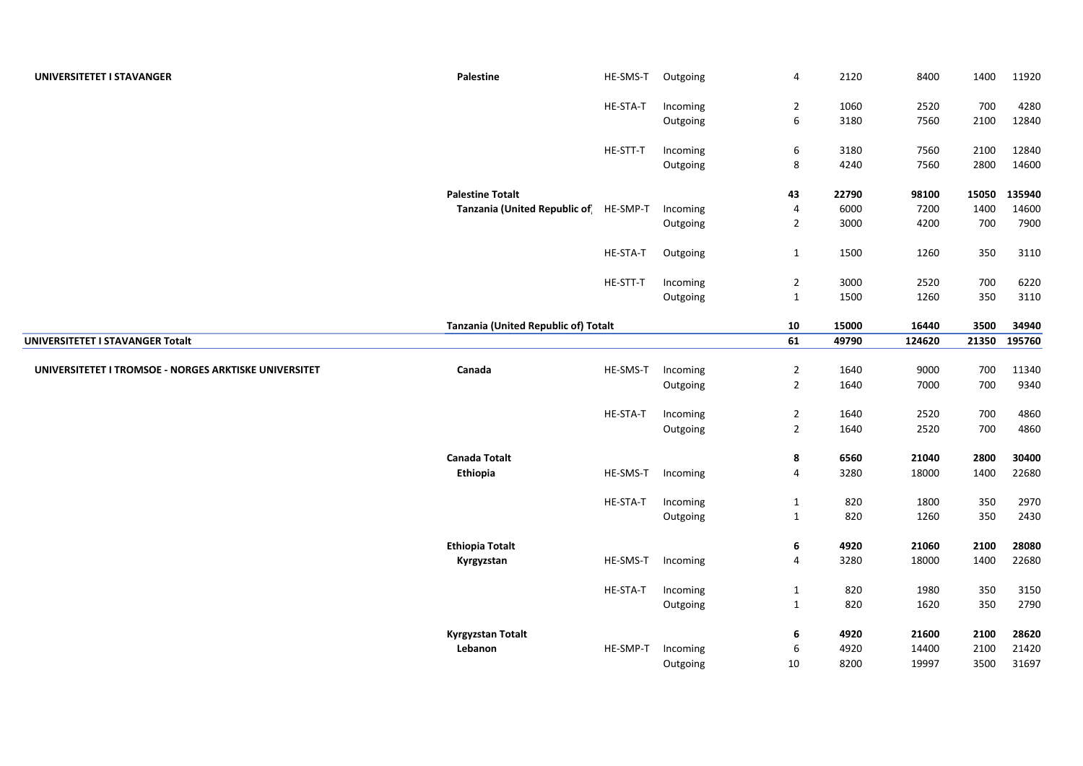| UNIVERSITETET I STAVANGER                             | Palestine                             | HE-SMS-T | Outgoing             | $\overline{4}$              | 2120  | 8400   | 1400  | 11920  |
|-------------------------------------------------------|---------------------------------------|----------|----------------------|-----------------------------|-------|--------|-------|--------|
|                                                       |                                       | HE-STA-T | Incoming             | $\overline{2}$              | 1060  | 2520   | 700   | 4280   |
|                                                       |                                       |          | Outgoing             | $\boldsymbol{6}$            | 3180  | 7560   | 2100  | 12840  |
|                                                       |                                       | HE-STT-T | Incoming             | 6                           | 3180  | 7560   | 2100  | 12840  |
|                                                       |                                       |          | Outgoing             | 8                           | 4240  | 7560   | 2800  | 14600  |
|                                                       | <b>Palestine Totalt</b>               |          |                      | 43                          | 22790 | 98100  | 15050 | 135940 |
|                                                       | Tanzania (United Republic of HE-SMP-T |          | Incoming             | $\pmb{4}$                   | 6000  | 7200   | 1400  | 14600  |
|                                                       |                                       |          | Outgoing             | $\overline{2}$              | 3000  | 4200   | 700   | 7900   |
|                                                       |                                       | HE-STA-T | Outgoing             | $\mathbf{1}$                | 1500  | 1260   | 350   | 3110   |
|                                                       |                                       |          |                      |                             |       |        |       |        |
|                                                       |                                       | HE-STT-T | Incoming             | $\overline{2}$              | 3000  | 2520   | 700   | 6220   |
|                                                       |                                       |          | Outgoing             | $\mathbf{1}$                | 1500  | 1260   | 350   | 3110   |
|                                                       | Tanzania (United Republic of) Totalt  |          |                      | 10                          | 15000 | 16440  | 3500  | 34940  |
| UNIVERSITETET I STAVANGER Totalt                      |                                       |          |                      | 61                          | 49790 | 124620 | 21350 | 195760 |
|                                                       |                                       |          |                      |                             |       |        |       |        |
| UNIVERSITETET I TROMSOE - NORGES ARKTISKE UNIVERSITET | Canada                                | HE-SMS-T | Incoming             | $\overline{2}$              | 1640  | 9000   | 700   | 11340  |
|                                                       |                                       |          | Outgoing             | $\overline{2}$              | 1640  | 7000   | 700   | 9340   |
|                                                       |                                       | HE-STA-T | Incoming             | $\overline{2}$              | 1640  | 2520   | 700   | 4860   |
|                                                       |                                       |          | Outgoing             | $\overline{2}$              | 1640  | 2520   | 700   | 4860   |
|                                                       | <b>Canada Totalt</b>                  |          |                      | 8                           | 6560  | 21040  | 2800  | 30400  |
|                                                       | Ethiopia                              | HE-SMS-T | Incoming             | $\overline{4}$              | 3280  | 18000  | 1400  | 22680  |
|                                                       |                                       | HE-STA-T |                      |                             | 820   | 1800   | 350   | 2970   |
|                                                       |                                       |          | Incoming<br>Outgoing | $\mathbf{1}$<br>$\mathbf 1$ | 820   | 1260   | 350   | 2430   |
|                                                       |                                       |          |                      |                             |       |        |       |        |
|                                                       | <b>Ethiopia Totalt</b>                |          |                      | 6                           | 4920  | 21060  | 2100  | 28080  |
|                                                       | Kyrgyzstan                            | HE-SMS-T | Incoming             | $\overline{4}$              | 3280  | 18000  | 1400  | 22680  |
|                                                       |                                       | HE-STA-T | Incoming             | $\mathbf{1}$                | 820   | 1980   | 350   | 3150   |
|                                                       |                                       |          | Outgoing             | $\mathbf{1}$                | 820   | 1620   | 350   | 2790   |
|                                                       |                                       |          |                      |                             |       |        |       |        |
|                                                       | <b>Kyrgyzstan Totalt</b>              |          |                      | 6                           | 4920  | 21600  | 2100  | 28620  |
|                                                       | Lebanon                               | HE-SMP-T | Incoming             | $\boldsymbol{6}$            | 4920  | 14400  | 2100  | 21420  |
|                                                       |                                       |          | Outgoing             | 10                          | 8200  | 19997  | 3500  | 31697  |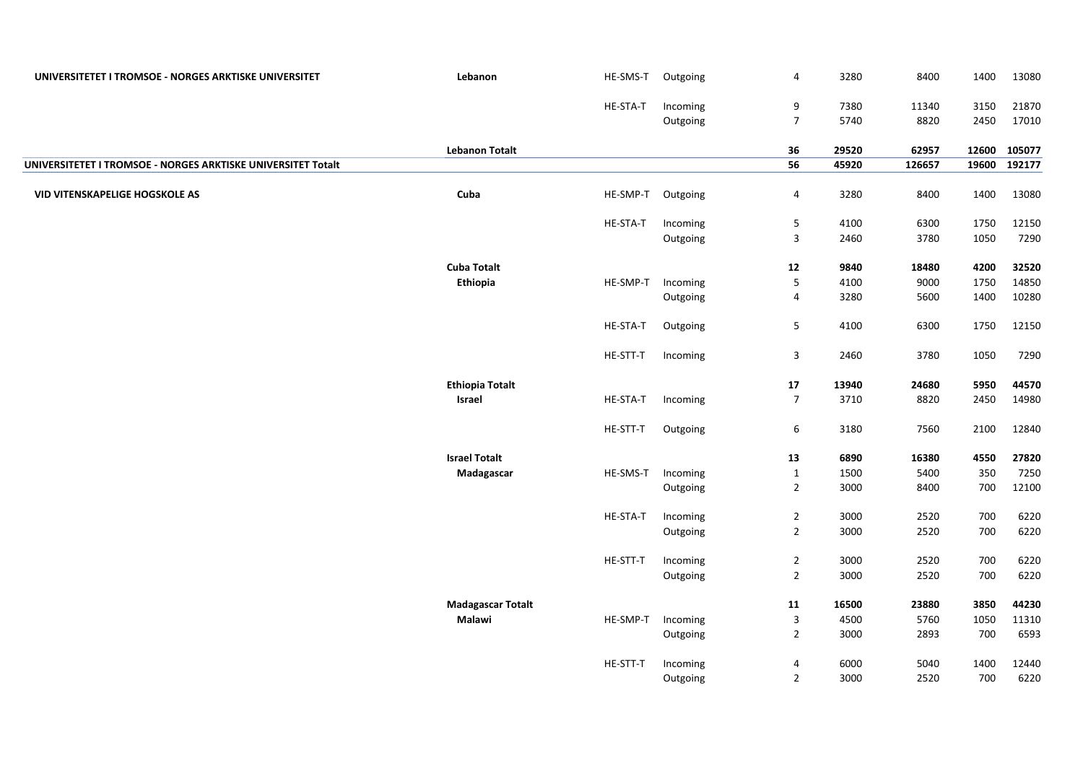| UNIVERSITETET I TROMSOE - NORGES ARKTISKE UNIVERSITET        | Lebanon                  | HE-SMS-T | Outgoing | 4                       | 3280  | 8400   | 1400  | 13080  |
|--------------------------------------------------------------|--------------------------|----------|----------|-------------------------|-------|--------|-------|--------|
|                                                              |                          | HE-STA-T | Incoming | 9                       | 7380  | 11340  | 3150  | 21870  |
|                                                              |                          |          | Outgoing | $\overline{7}$          | 5740  | 8820   | 2450  | 17010  |
|                                                              | <b>Lebanon Totalt</b>    |          |          | 36                      | 29520 | 62957  | 12600 | 105077 |
| UNIVERSITETET I TROMSOE - NORGES ARKTISKE UNIVERSITET Totalt |                          |          |          | 56                      | 45920 | 126657 | 19600 | 192177 |
| <b>VID VITENSKAPELIGE HOGSKOLE AS</b>                        | Cuba                     | HE-SMP-T | Outgoing | 4                       | 3280  | 8400   | 1400  | 13080  |
|                                                              |                          | HE-STA-T | Incoming | 5                       | 4100  | 6300   | 1750  | 12150  |
|                                                              |                          |          | Outgoing | 3                       | 2460  | 3780   | 1050  | 7290   |
|                                                              | <b>Cuba Totalt</b>       |          |          | ${\bf 12}$              | 9840  | 18480  | 4200  | 32520  |
|                                                              | Ethiopia                 | HE-SMP-T | Incoming | 5                       | 4100  | 9000   | 1750  | 14850  |
|                                                              |                          |          | Outgoing | $\overline{4}$          | 3280  | 5600   | 1400  | 10280  |
|                                                              |                          | HE-STA-T | Outgoing | 5                       | 4100  | 6300   | 1750  | 12150  |
|                                                              |                          | HE-STT-T | Incoming | $\overline{3}$          | 2460  | 3780   | 1050  | 7290   |
|                                                              | <b>Ethiopia Totalt</b>   |          |          | 17                      | 13940 | 24680  | 5950  | 44570  |
|                                                              | Israel                   | HE-STA-T | Incoming | $\overline{7}$          | 3710  | 8820   | 2450  | 14980  |
|                                                              |                          | HE-STT-T | Outgoing | 6                       | 3180  | 7560   | 2100  | 12840  |
|                                                              | <b>Israel Totalt</b>     |          |          | 13                      | 6890  | 16380  | 4550  | 27820  |
|                                                              | Madagascar               | HE-SMS-T | Incoming | $\mathbf 1$             | 1500  | 5400   | 350   | 7250   |
|                                                              |                          |          | Outgoing | $\overline{2}$          | 3000  | 8400   | 700   | 12100  |
|                                                              |                          | HE-STA-T | Incoming | $\overline{2}$          | 3000  | 2520   | 700   | 6220   |
|                                                              |                          |          | Outgoing | $\overline{2}$          | 3000  | 2520   | 700   | 6220   |
|                                                              |                          | HE-STT-T | Incoming | $\overline{2}$          | 3000  | 2520   | 700   | 6220   |
|                                                              |                          |          | Outgoing | $\overline{2}$          | 3000  | 2520   | 700   | 6220   |
|                                                              | <b>Madagascar Totalt</b> |          |          | ${\bf 11}$              | 16500 | 23880  | 3850  | 44230  |
|                                                              | Malawi                   | HE-SMP-T | Incoming | $\mathbf{3}$            | 4500  | 5760   | 1050  | 11310  |
|                                                              |                          |          | Outgoing | $\overline{2}$          | 3000  | 2893   | 700   | 6593   |
|                                                              |                          | HE-STT-T | Incoming | $\overline{\mathbf{4}}$ | 6000  | 5040   | 1400  | 12440  |
|                                                              |                          |          | Outgoing | $\overline{2}$          | 3000  | 2520   | 700   | 6220   |
|                                                              |                          |          |          |                         |       |        |       |        |